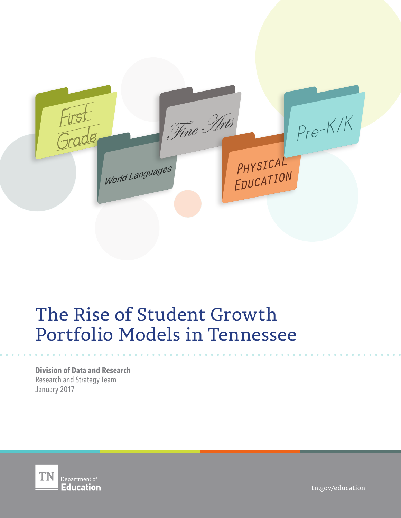

# The Rise of Student Growth Portfolio Models in Tennessee

**Division of Data and Research** Research and Strategy Team January 2017



tn.gov/education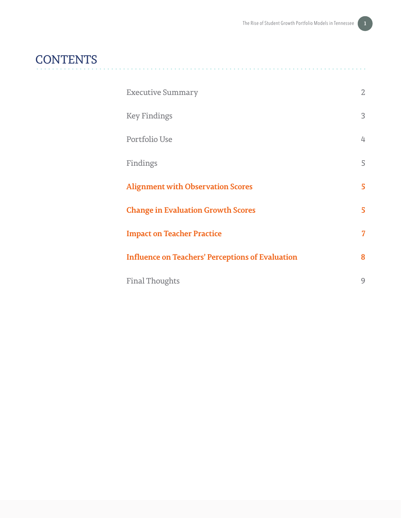# **CONTENTS**

| <b>Executive Summary</b>                                | $\mathbf{Z}$ |
|---------------------------------------------------------|--------------|
| <b>Key Findings</b>                                     | 3            |
| Portfolio Use                                           | 4            |
| Findings                                                | 5            |
| <b>Alignment with Observation Scores</b>                | 5            |
| <b>Change in Evaluation Growth Scores</b>               | 5            |
| <b>Impact on Teacher Practice</b>                       | 7            |
| <b>Influence on Teachers' Perceptions of Evaluation</b> | 8            |
| <b>Final Thoughts</b>                                   | 9            |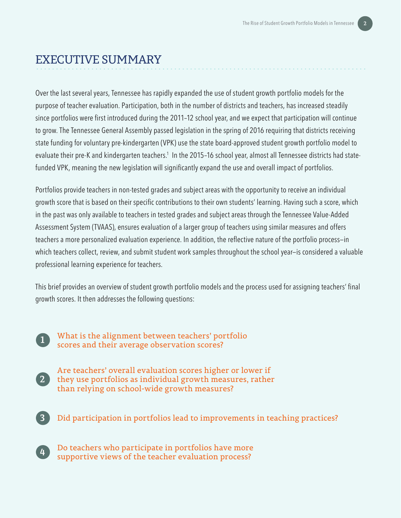## EXECUTIVE SUMMARY

Over the last several years, Tennessee has rapidly expanded the use of student growth portfolio models for the purpose of teacher evaluation. Participation, both in the number of districts and teachers, has increased steadily since portfolios were first introduced during the 2011–12 school year, and we expect that participation will continue to grow. The Tennessee General Assembly passed legislation in the spring of 2016 requiring that districts receiving state funding for voluntary pre-kindergarten (VPK) use the state board-approved student growth portfolio model to evaluate their pre-K and kindergarten teachers.<sup>1</sup> In the 2015–16 school year, almost all Tennessee districts had statefunded VPK, meaning the new legislation will significantly expand the use and overall impact of portfolios.

Portfolios provide teachers in non-tested grades and subject areas with the opportunity to receive an individual growth score that is based on their specific contributions to their own students' learning. Having such a score, which in the past was only available to teachers in tested grades and subject areas through the Tennessee Value-Added Assessment System (TVAAS), ensures evaluation of a larger group of teachers using similar measures and offers teachers a more personalized evaluation experience. In addition, the reflective nature of the portfolio process—in which teachers collect, review, and submit student work samples throughout the school year—is considered a valuable professional learning experience for teachers.

This brief provides an overview of student growth portfolio models and the process used for assigning teachers' final growth scores. It then addresses the following questions:

**2**

What is the alignment between teachers' portfolio scores and their average observation scores? **<sup>1</sup>**

- Are teachers' overall evaluation scores higher or lower if they use portfolios as individual growth measures, rather than relying on school-wide growth measures?
- **3** Did participation in portfolios lead to improvements in teaching practices?

**4** Do teachers who participate in portfolios have more supportive views of the teacher evaluation process?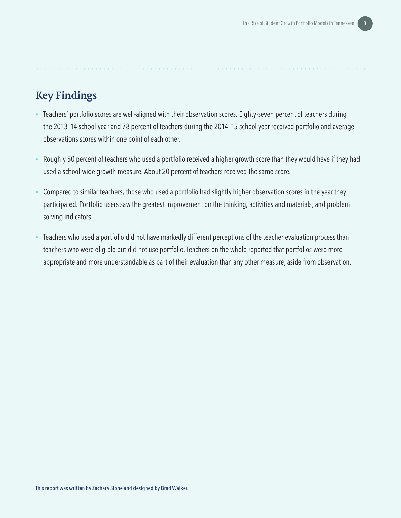### **Key Findings**

- Teachers' portfolio scores are well-aligned with their observation scores. Eighty-seven percent of teachers during the 2013–14 school year and 78 percent of teachers during the 2014–15 school year received portfolio and average observations scores within one point of each other.
- Roughly 50 percent of teachers who used a portfolio received a higher growth score than they would have if they had used a school-wide growth measure. About 20 percent of teachers received the same score.
- Compared to similar teachers, those who used a portfolio had slightly higher observation scores in the year they participated. Portfolio users saw the greatest improvement on the thinking, activities and materials, and problem solving indicators.
- Teachers who used a portfolio did not have markedly different perceptions of the teacher evaluation process than teachers who were eligible but did not use portfolio. Teachers on the whole reported that portfolios were more appropriate and more understandable as part of their evaluation than any other measure, aside from observation.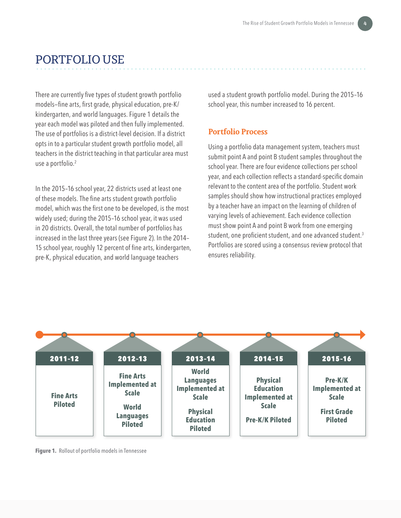### PORTFOLIO USE

There are currently five types of student growth portfolio models—fine arts, first grade, physical education, pre-K/ kindergarten, and world languages. Figure 1 details the year each model was piloted and then fully implemented. The use of portfolios is a district-level decision. If a district opts in to a particular student growth portfolio model, all teachers in the district teaching in that particular area must use a portfolio.<sup>2</sup>

In the 2015–16 school year, 22 districts used at least one of these models. The fine arts student growth portfolio model, which was the first one to be developed, is the most widely used; during the 2015–16 school year, it was used in 20 districts. Overall, the total number of portfolios has increased in the last three years (see Figure 2). In the 2014– 15 school year, roughly 12 percent of fine arts, kindergarten, pre-K, physical education, and world language teachers

used a student growth portfolio model. During the 2015–16 school year, this number increased to 16 percent.

#### **Portfolio Process**

Using a portfolio data management system, teachers must submit point A and point B student samples throughout the school year. There are four evidence collections per school year, and each collection reflects a standard-specific domain relevant to the content area of the portfolio. Student work samples should show how instructional practices employed by a teacher have an impact on the learning of children of varying levels of achievement. Each evidence collection must show point A and point B work from one emerging student, one proficient student, and one advanced student.<sup>3</sup> Portfolios are scored using a consensus review protocol that ensures reliability.



**Figure 1.** Rollout of portfolio models in Tennessee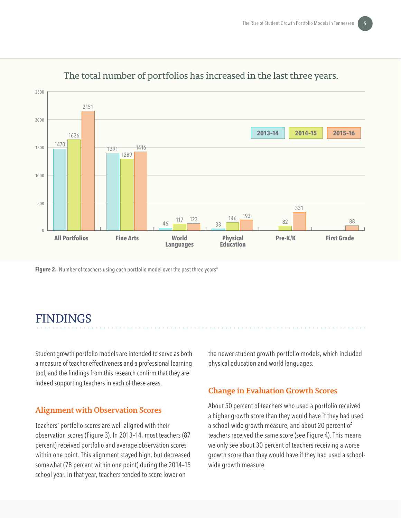

### The total number of portfolios has increased in the last three years.

**Figure 2.** Number of teachers using each portfolio model over the past three years<sup>4</sup>

# FINDINGS

Student growth portfolio models are intended to serve as both a measure of teacher effectiveness and a professional learning tool, and the findings from this research confirm that they are indeed supporting teachers in each of these areas.

#### **Alignment with Observation Scores**

Teachers' portfolio scores are well-aligned with their observation scores (Figure 3). In 2013–14, most teachers (87 percent) received portfolio and average observation scores within one point. This alignment stayed high, but decreased somewhat (78 percent within one point) during the 2014–15 school year. In that year, teachers tended to score lower on

the newer student growth portfolio models, which included physical education and world languages.

#### **Change in Evaluation Growth Scores**

About 50 percent of teachers who used a portfolio received a higher growth score than they would have if they had used a school-wide growth measure, and about 20 percent of teachers received the same score (see Figure 4). This means we only see about 30 percent of teachers receiving a worse growth score than they would have if they had used a schoolwide growth measure.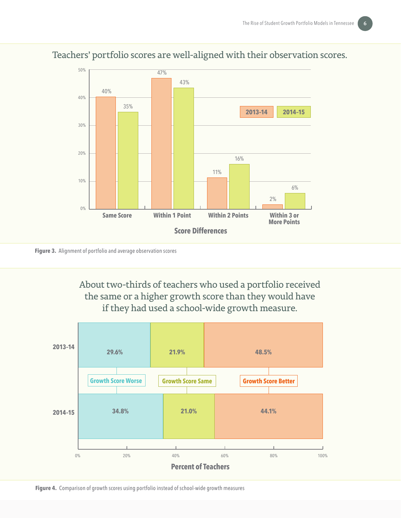

### Teachers' portfolio scores are well-aligned with their observation scores.

**Figure 3.** Alignment of portfolio and average observation scores

About two-thirds of teachers who used a portfolio received the same or a higher growth score than they would have if they had used a school-wide growth measure.



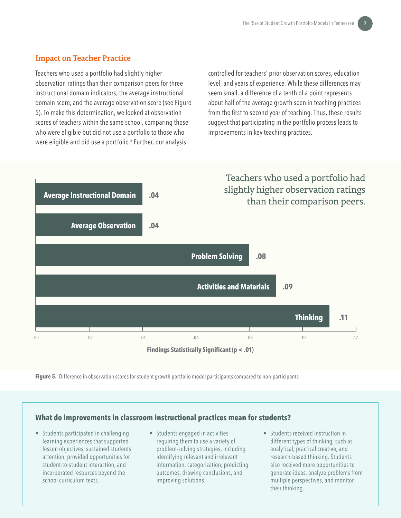#### **Impact on Teacher Practice**

Teachers who used a portfolio had slightly higher observation ratings than their comparison peers for three instructional domain indicators, the average instructional domain score, and the average observation score (see Figure 5). To make this determination, we looked at observation scores of teachers within the same school, comparing those who were eligible but did not use a portfolio to those who were eligible and did use a portfolio.<sup>5</sup> Further, our analysis

controlled for teachers' prior observation scores, education level, and years of experience. While these differences may seem small, a difference of a tenth of a point represents about half of the average growth seen in teaching practices from the first to second year of teaching. Thus, these results suggest that participating in the portfolio process leads to improvements in key teaching practices.



**Figure 5.** Difference in observation scores for student growth portfolio model participants compared to non-participants

#### **What do improvements in classroom instructional practices mean for students?**

- Students participated in challenging learning experiences that supported lesson objectives, sustained students' attention, provided opportunities for student-to-student interaction, and incorporated resources beyond the school curriculum texts.
- Students engaged in activities requiring them to use a variety of problem-solving strategies, including identifying relevant and irrelevant information, categorization, predicting outcomes, drawing conclusions, and improving solutions.
- Students received instruction in different types of thinking, such as analytical, practical creative, and research-based thinking. Students also received more opportunities to generate ideas, analyze problems from multiple perspectives, and monitor their thinking.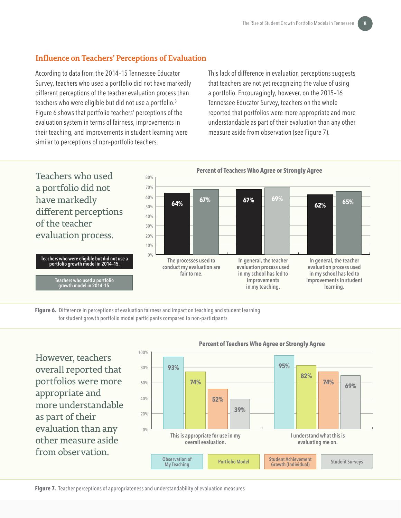#### **Influence on Teachers' Perceptions of Evaluation**

According to data from the 2014–15 Tennessee Educator Survey, teachers who used a portfolio did not have markedly different perceptions of the teacher evaluation process than teachers who were eligible but did not use a portfolio.<sup>8</sup> Figure 6 shows that portfolio teachers' perceptions of the evaluation system in terms of fairness, improvements in their teaching, and improvements in student learning were similar to perceptions of non-portfolio teachers.

This lack of difference in evaluation perceptions suggests that teachers are not yet recognizing the value of using a portfolio. Encouragingly, however, on the 2015–16 Tennessee Educator Survey, teachers on the whole reported that portfolios were more appropriate and more understandable as part of their evaluation than any other measure aside from observation (see Figure 7).



**Figure 6.** Difference in perceptions of evaluation fairness and impact on teaching and student learning for student growth portfolio model participants compared to non-participants

However, teachers overall reported that portfolios were more appropriate and more understandable as part of their evaluation than any other measure aside from observation.



#### **Percent of Teachers Who Agree or Strongly Agree**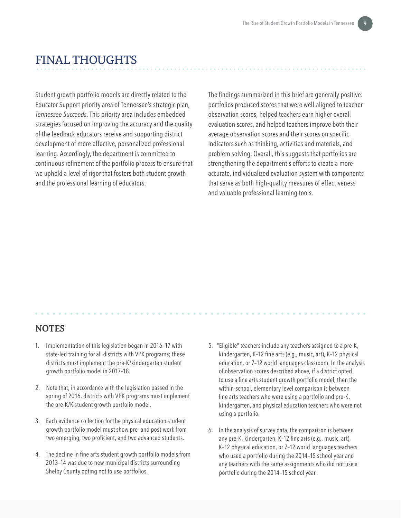# FINAL THOUGHTS

Student growth portfolio models are directly related to the Educator Support priority area of Tennessee's strategic plan, *Tennessee Succeeds*. This priority area includes embedded strategies focused on improving the accuracy and the quality of the feedback educators receive and supporting district development of more effective, personalized professional learning. Accordingly, the department is committed to continuous refinement of the portfolio process to ensure that we uphold a level of rigor that fosters both student growth and the professional learning of educators.

The findings summarized in this brief are generally positive: portfolios produced scores that were well-aligned to teacher observation scores, helped teachers earn higher overall evaluation scores, and helped teachers improve both their average observation scores and their scores on specific indicators such as thinking, activities and materials, and problem solving. Overall, this suggests that portfolios are strengthening the department's efforts to create a more accurate, individualized evaluation system with components that serve as both high-quality measures of effectiveness and valuable professional learning tools.

#### **NOTES**

- 1. Implementation of this legislation began in 2016–17 with state-led training for all districts with VPK programs; these districts must implement the pre-K/kindergarten student growth portfolio model in 2017–18.
- 2. Note that, in accordance with the legislation passed in the spring of 2016, districts with VPK programs must implement the pre-K/K student growth portfolio model.
- 3. Each evidence collection for the physical education student growth portfolio model must show pre- and post-work from two emerging, two proficient, and two advanced students.
- 4. The decline in fine arts student growth portfolio models from 2013–14 was due to new municipal districts surrounding Shelby County opting not to use portfolios.
- 5. "Eligible" teachers include any teachers assigned to a pre-K, kindergarten, K–12 fine arts (e.g., music, art), K–12 physical education, or 7–12 world languages classroom. In the analysis of observation scores described above, if a district opted to use a fine arts student growth portfolio model, then the within-school, elementary level comparison is between fine arts teachers who were using a portfolio and pre-K, kindergarten, and physical education teachers who were not using a portfolio.
- 6. In the analysis of survey data, the comparison is between any pre-K, kindergarten, K–12 fine arts (e.g., music, art), K–12 physical education, or 7–12 world languages teachers who used a portfolio during the 2014–15 school year and any teachers with the same assignments who did not use a portfolio during the 2014–15 school year.